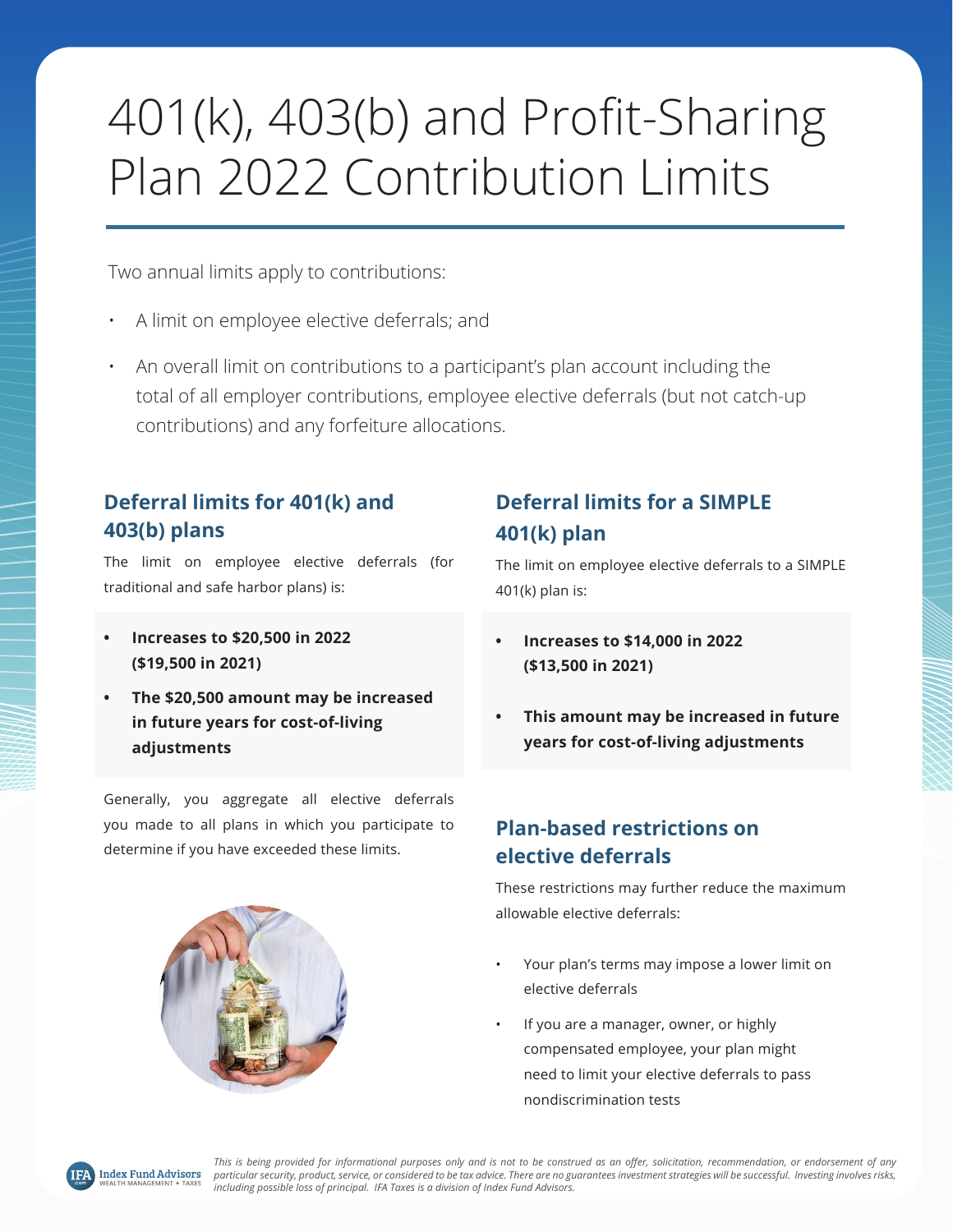# 401(k), 403(b) and Profit-Sharing Plan 2022 Contribution Limits

Two annual limits apply to contributions:

- A limit on employee elective deferrals; and
- An overall limit on contributions to a participant's plan account including the total of all employer contributions, employee elective deferrals (but not catch-up contributions) and any forfeiture allocations.

#### **Deferral limits for 401(k) and 403(b) plans**

The limit on employee elective deferrals (for traditional and safe harbor plans) is:

- **• Increases to \$20,500 in 2022 (\$19,500 in 2021)**
- **• The \$20,500 amount may be increased in future years for cost-of-living adjustments**

Generally, you aggregate all elective deferrals you made to all plans in which you participate to determine if you have exceeded these limits.

### **Deferral limits for a SIMPLE 401(k) plan**

The limit on employee elective deferrals to a SIMPLE 401(k) plan is:

- **• Increases to \$14,000 in 2022 (\$13,500 in 2021)**
- **• This amount may be increased in future years for cost-of-living adjustments**

#### **Plan-based restrictions on elective deferrals**

These restrictions may further reduce the maximum allowable elective deferrals:

- Your plan's terms may impose a lower limit on elective deferrals
- If you are a manager, owner, or highly compensated employee, your plan might need to limit your elective deferrals to pass nondiscrimination tests



*This is being provided for informational purposes only and is not to be construed as an offer, solicitation, recommendation, or endorsement of any particular security, product, service, or considered to be tax advice. There are no guarantees investment strategies will be successful. Investing involves risks, including possible loss of principal. IFA Taxes is a division of Index Fund Advisors.*